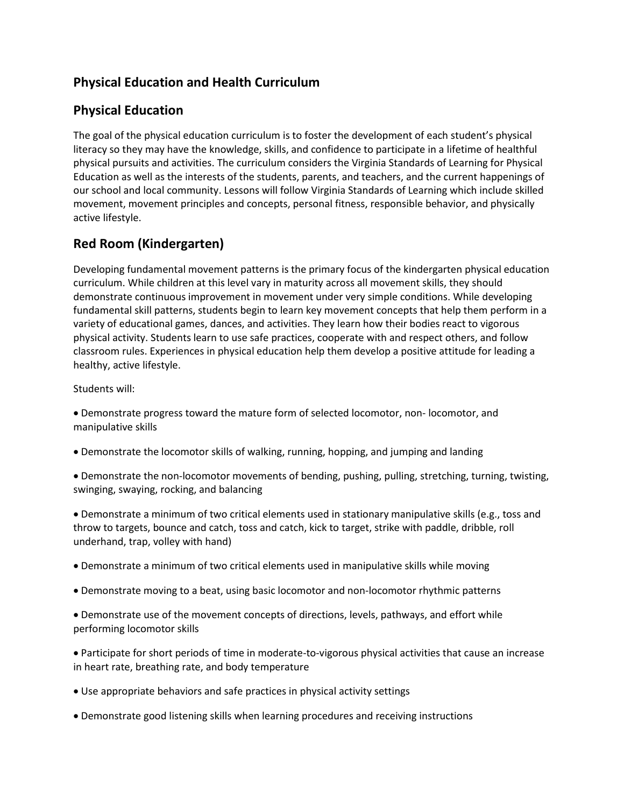# **Physical Education and Health Curriculum**

#### **Physical Education**

The goal of the physical education curriculum is to foster the development of each student's physical literacy so they may have the knowledge, skills, and confidence to participate in a lifetime of healthful physical pursuits and activities. The curriculum considers the Virginia Standards of Learning for Physical Education as well as the interests of the students, parents, and teachers, and the current happenings of our school and local community. Lessons will follow Virginia Standards of Learning which include skilled movement, movement principles and concepts, personal fitness, responsible behavior, and physically active lifestyle.

# **Red Room (Kindergarten)**

Developing fundamental movement patterns is the primary focus of the kindergarten physical education curriculum. While children at this level vary in maturity across all movement skills, they should demonstrate continuous improvement in movement under very simple conditions. While developing fundamental skill patterns, students begin to learn key movement concepts that help them perform in a variety of educational games, dances, and activities. They learn how their bodies react to vigorous physical activity. Students learn to use safe practices, cooperate with and respect others, and follow classroom rules. Experiences in physical education help them develop a positive attitude for leading a healthy, active lifestyle.

Students will:

• Demonstrate progress toward the mature form of selected locomotor, non- locomotor, and manipulative skills

- Demonstrate the locomotor skills of walking, running, hopping, and jumping and landing
- Demonstrate the non-locomotor movements of bending, pushing, pulling, stretching, turning, twisting, swinging, swaying, rocking, and balancing

• Demonstrate a minimum of two critical elements used in stationary manipulative skills (e.g., toss and throw to targets, bounce and catch, toss and catch, kick to target, strike with paddle, dribble, roll underhand, trap, volley with hand)

- Demonstrate a minimum of two critical elements used in manipulative skills while moving
- Demonstrate moving to a beat, using basic locomotor and non-locomotor rhythmic patterns

• Demonstrate use of the movement concepts of directions, levels, pathways, and effort while performing locomotor skills

• Participate for short periods of time in moderate-to-vigorous physical activities that cause an increase in heart rate, breathing rate, and body temperature

- Use appropriate behaviors and safe practices in physical activity settings
- Demonstrate good listening skills when learning procedures and receiving instructions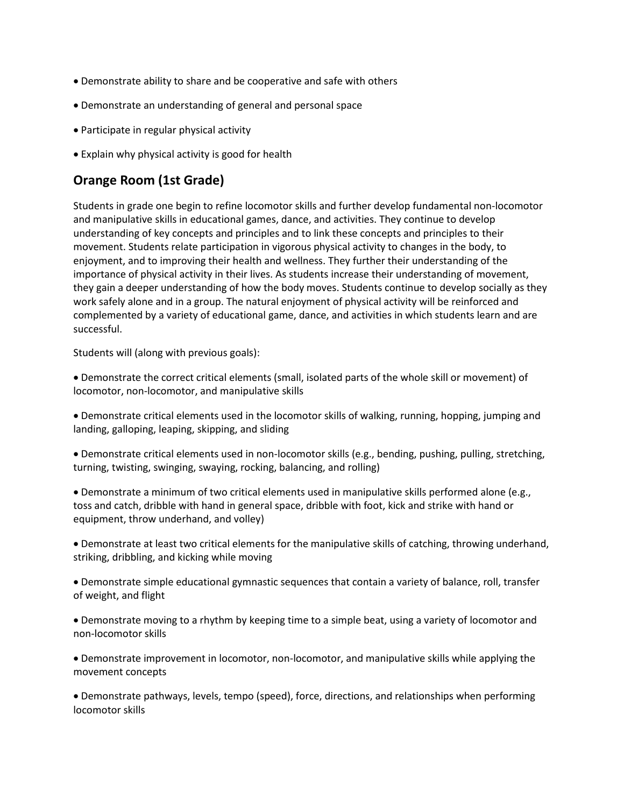- Demonstrate ability to share and be cooperative and safe with others
- Demonstrate an understanding of general and personal space
- Participate in regular physical activity
- Explain why physical activity is good for health

### **Orange Room (1st Grade)**

Students in grade one begin to refine locomotor skills and further develop fundamental non-locomotor and manipulative skills in educational games, dance, and activities. They continue to develop understanding of key concepts and principles and to link these concepts and principles to their movement. Students relate participation in vigorous physical activity to changes in the body, to enjoyment, and to improving their health and wellness. They further their understanding of the importance of physical activity in their lives. As students increase their understanding of movement, they gain a deeper understanding of how the body moves. Students continue to develop socially as they work safely alone and in a group. The natural enjoyment of physical activity will be reinforced and complemented by a variety of educational game, dance, and activities in which students learn and are successful.

Students will (along with previous goals):

• Demonstrate the correct critical elements (small, isolated parts of the whole skill or movement) of locomotor, non-locomotor, and manipulative skills

• Demonstrate critical elements used in the locomotor skills of walking, running, hopping, jumping and landing, galloping, leaping, skipping, and sliding

• Demonstrate critical elements used in non-locomotor skills (e.g., bending, pushing, pulling, stretching, turning, twisting, swinging, swaying, rocking, balancing, and rolling)

• Demonstrate a minimum of two critical elements used in manipulative skills performed alone (e.g., toss and catch, dribble with hand in general space, dribble with foot, kick and strike with hand or equipment, throw underhand, and volley)

• Demonstrate at least two critical elements for the manipulative skills of catching, throwing underhand, striking, dribbling, and kicking while moving

• Demonstrate simple educational gymnastic sequences that contain a variety of balance, roll, transfer of weight, and flight

• Demonstrate moving to a rhythm by keeping time to a simple beat, using a variety of locomotor and non-locomotor skills

• Demonstrate improvement in locomotor, non-locomotor, and manipulative skills while applying the movement concepts

• Demonstrate pathways, levels, tempo (speed), force, directions, and relationships when performing locomotor skills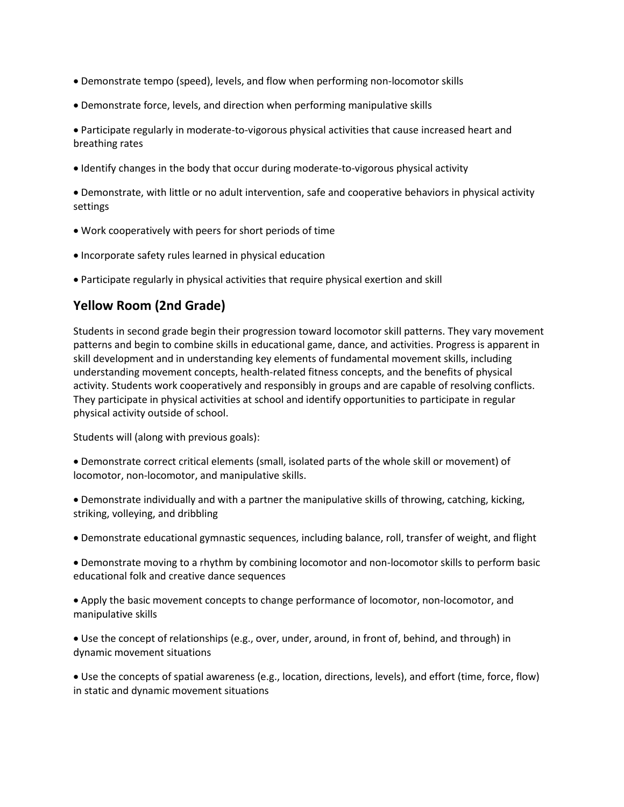- Demonstrate tempo (speed), levels, and flow when performing non-locomotor skills
- Demonstrate force, levels, and direction when performing manipulative skills

• Participate regularly in moderate-to-vigorous physical activities that cause increased heart and breathing rates

• Identify changes in the body that occur during moderate-to-vigorous physical activity

• Demonstrate, with little or no adult intervention, safe and cooperative behaviors in physical activity settings

- Work cooperatively with peers for short periods of time
- Incorporate safety rules learned in physical education
- Participate regularly in physical activities that require physical exertion and skill

#### **Yellow Room (2nd Grade)**

Students in second grade begin their progression toward locomotor skill patterns. They vary movement patterns and begin to combine skills in educational game, dance, and activities. Progress is apparent in skill development and in understanding key elements of fundamental movement skills, including understanding movement concepts, health-related fitness concepts, and the benefits of physical activity. Students work cooperatively and responsibly in groups and are capable of resolving conflicts. They participate in physical activities at school and identify opportunities to participate in regular physical activity outside of school.

Students will (along with previous goals):

• Demonstrate correct critical elements (small, isolated parts of the whole skill or movement) of locomotor, non-locomotor, and manipulative skills.

• Demonstrate individually and with a partner the manipulative skills of throwing, catching, kicking, striking, volleying, and dribbling

• Demonstrate educational gymnastic sequences, including balance, roll, transfer of weight, and flight

• Demonstrate moving to a rhythm by combining locomotor and non-locomotor skills to perform basic educational folk and creative dance sequences

• Apply the basic movement concepts to change performance of locomotor, non-locomotor, and manipulative skills

• Use the concept of relationships (e.g., over, under, around, in front of, behind, and through) in dynamic movement situations

• Use the concepts of spatial awareness (e.g., location, directions, levels), and effort (time, force, flow) in static and dynamic movement situations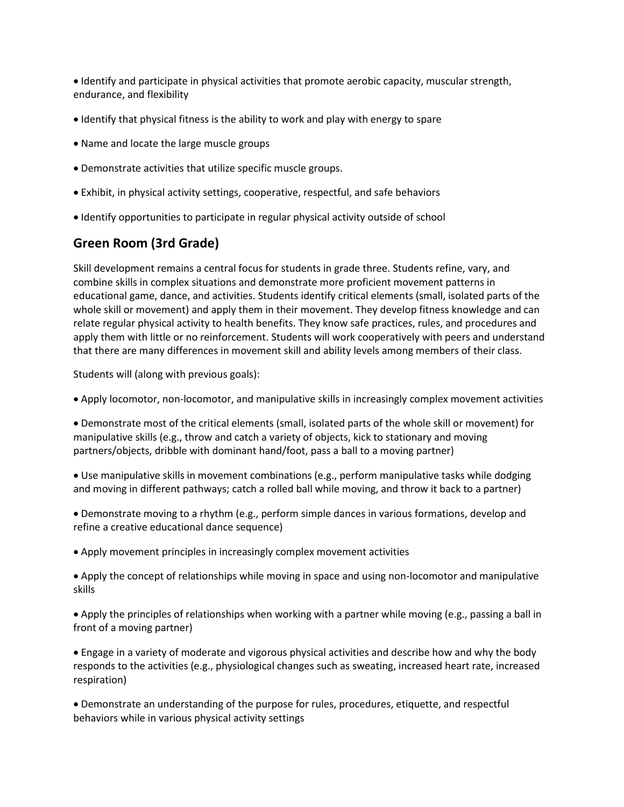• Identify and participate in physical activities that promote aerobic capacity, muscular strength, endurance, and flexibility

- Identify that physical fitness is the ability to work and play with energy to spare
- Name and locate the large muscle groups
- Demonstrate activities that utilize specific muscle groups.
- Exhibit, in physical activity settings, cooperative, respectful, and safe behaviors
- Identify opportunities to participate in regular physical activity outside of school

# **Green Room (3rd Grade)**

Skill development remains a central focus for students in grade three. Students refine, vary, and combine skills in complex situations and demonstrate more proficient movement patterns in educational game, dance, and activities. Students identify critical elements (small, isolated parts of the whole skill or movement) and apply them in their movement. They develop fitness knowledge and can relate regular physical activity to health benefits. They know safe practices, rules, and procedures and apply them with little or no reinforcement. Students will work cooperatively with peers and understand that there are many differences in movement skill and ability levels among members of their class.

Students will (along with previous goals):

- Apply locomotor, non-locomotor, and manipulative skills in increasingly complex movement activities
- Demonstrate most of the critical elements (small, isolated parts of the whole skill or movement) for manipulative skills (e.g., throw and catch a variety of objects, kick to stationary and moving partners/objects, dribble with dominant hand/foot, pass a ball to a moving partner)
- Use manipulative skills in movement combinations (e.g., perform manipulative tasks while dodging and moving in different pathways; catch a rolled ball while moving, and throw it back to a partner)
- Demonstrate moving to a rhythm (e.g., perform simple dances in various formations, develop and refine a creative educational dance sequence)
- Apply movement principles in increasingly complex movement activities
- Apply the concept of relationships while moving in space and using non-locomotor and manipulative skills
- Apply the principles of relationships when working with a partner while moving (e.g., passing a ball in front of a moving partner)
- Engage in a variety of moderate and vigorous physical activities and describe how and why the body responds to the activities (e.g., physiological changes such as sweating, increased heart rate, increased respiration)
- Demonstrate an understanding of the purpose for rules, procedures, etiquette, and respectful behaviors while in various physical activity settings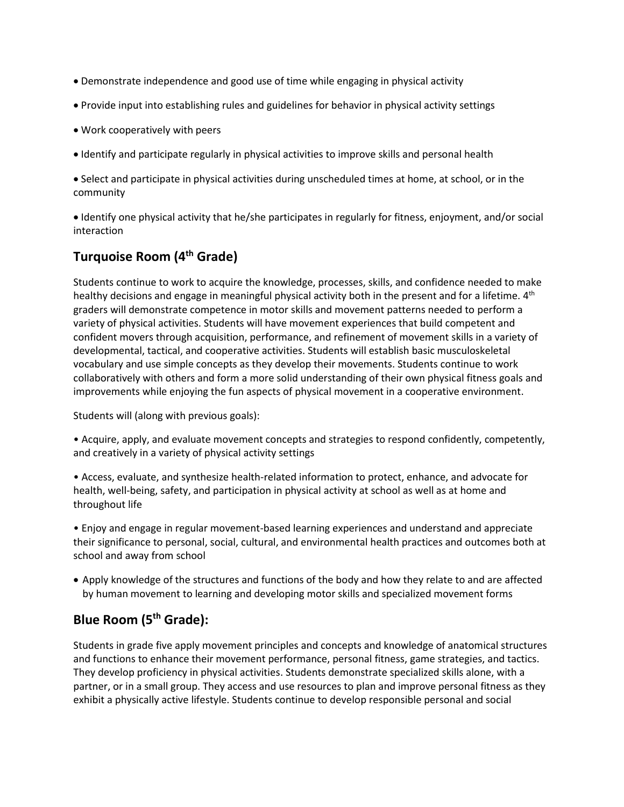- Demonstrate independence and good use of time while engaging in physical activity
- Provide input into establishing rules and guidelines for behavior in physical activity settings
- Work cooperatively with peers
- Identify and participate regularly in physical activities to improve skills and personal health

• Select and participate in physical activities during unscheduled times at home, at school, or in the community

• Identify one physical activity that he/she participates in regularly for fitness, enjoyment, and/or social interaction

# **Turquoise Room (4th Grade)**

Students continue to work to acquire the knowledge, processes, skills, and confidence needed to make healthy decisions and engage in meaningful physical activity both in the present and for a lifetime. 4<sup>th</sup> graders will demonstrate competence in motor skills and movement patterns needed to perform a variety of physical activities. Students will have movement experiences that build competent and confident movers through acquisition, performance, and refinement of movement skills in a variety of developmental, tactical, and cooperative activities. Students will establish basic musculoskeletal vocabulary and use simple concepts as they develop their movements. Students continue to work collaboratively with others and form a more solid understanding of their own physical fitness goals and improvements while enjoying the fun aspects of physical movement in a cooperative environment.

Students will (along with previous goals):

• Acquire, apply, and evaluate movement concepts and strategies to respond confidently, competently, and creatively in a variety of physical activity settings

• Access, evaluate, and synthesize health-related information to protect, enhance, and advocate for health, well-being, safety, and participation in physical activity at school as well as at home and throughout life

• Enjoy and engage in regular movement-based learning experiences and understand and appreciate their significance to personal, social, cultural, and environmental health practices and outcomes both at school and away from school

• Apply knowledge of the structures and functions of the body and how they relate to and are affected by human movement to learning and developing motor skills and specialized movement forms

# **Blue Room (5th Grade):**

Students in grade five apply movement principles and concepts and knowledge of anatomical structures and functions to enhance their movement performance, personal fitness, game strategies, and tactics. They develop proficiency in physical activities. Students demonstrate specialized skills alone, with a partner, or in a small group. They access and use resources to plan and improve personal fitness as they exhibit a physically active lifestyle. Students continue to develop responsible personal and social